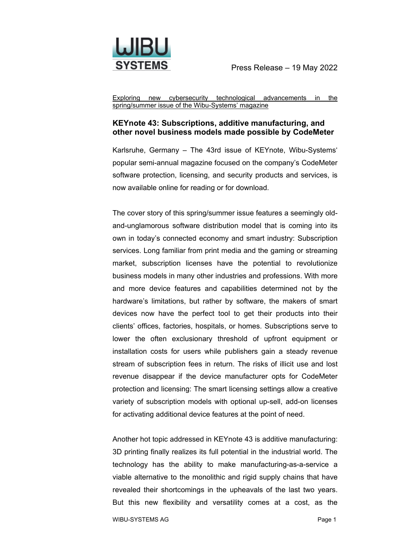

Exploring new cybersecurity technological advancements in the spring/summer issue of the Wibu-Systems' magazine

## **KEYnote 43: Subscriptions, additive manufacturing, and other novel business models made possible by CodeMeter**

Karlsruhe, Germany – The 43rd issue of KEYnote, Wibu-Systems' popular semi-annual magazine focused on the company's CodeMeter software protection, licensing, and security products and services, is now available online for reading or for download.

The cover story of this spring/summer issue features a seemingly oldand-unglamorous software distribution model that is coming into its own in today's connected economy and smart industry: Subscription services. Long familiar from print media and the gaming or streaming market, subscription licenses have the potential to revolutionize business models in many other industries and professions. With more and more device features and capabilities determined not by the hardware's limitations, but rather by software, the makers of smart devices now have the perfect tool to get their products into their clients' offices, factories, hospitals, or homes. Subscriptions serve to lower the often exclusionary threshold of upfront equipment or installation costs for users while publishers gain a steady revenue stream of subscription fees in return. The risks of illicit use and lost revenue disappear if the device manufacturer opts for CodeMeter protection and licensing: The smart licensing settings allow a creative variety of subscription models with optional up-sell, add-on licenses for activating additional device features at the point of need.

Another hot topic addressed in KEYnote 43 is additive manufacturing: 3D printing finally realizes its full potential in the industrial world. The technology has the ability to make manufacturing-as-a-service a viable alternative to the monolithic and rigid supply chains that have revealed their shortcomings in the upheavals of the last two years. But this new flexibility and versatility comes at a cost, as the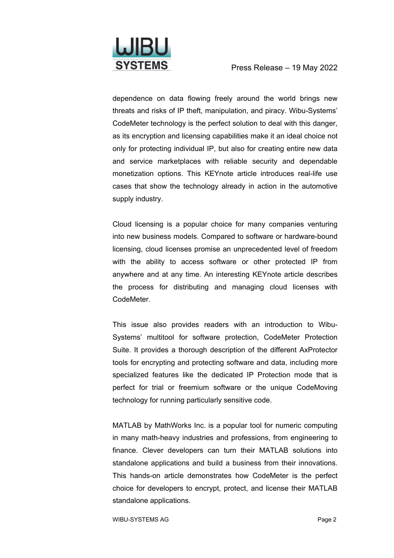

dependence on data flowing freely around the world brings new threats and risks of IP theft, manipulation, and piracy. Wibu-Systems' CodeMeter technology is the perfect solution to deal with this danger, as its encryption and licensing capabilities make it an ideal choice not only for protecting individual IP, but also for creating entire new data and service marketplaces with reliable security and dependable monetization options. This KEYnote article introduces real-life use cases that show the technology already in action in the automotive supply industry.

Cloud licensing is a popular choice for many companies venturing into new business models. Compared to software or hardware-bound licensing, cloud licenses promise an unprecedented level of freedom with the ability to access software or other protected IP from anywhere and at any time. An interesting KEYnote article describes the process for distributing and managing cloud licenses with CodeMeter.

This issue also provides readers with an introduction to Wibu-Systems' multitool for software protection, CodeMeter Protection Suite. It provides a thorough description of the different AxProtector tools for encrypting and protecting software and data, including more specialized features like the dedicated IP Protection mode that is perfect for trial or freemium software or the unique CodeMoving technology for running particularly sensitive code.

MATLAB by MathWorks Inc. is a popular tool for numeric computing in many math-heavy industries and professions, from engineering to finance. Clever developers can turn their MATLAB solutions into standalone applications and build a business from their innovations. This hands-on article demonstrates how CodeMeter is the perfect choice for developers to encrypt, protect, and license their MATLAB standalone applications.